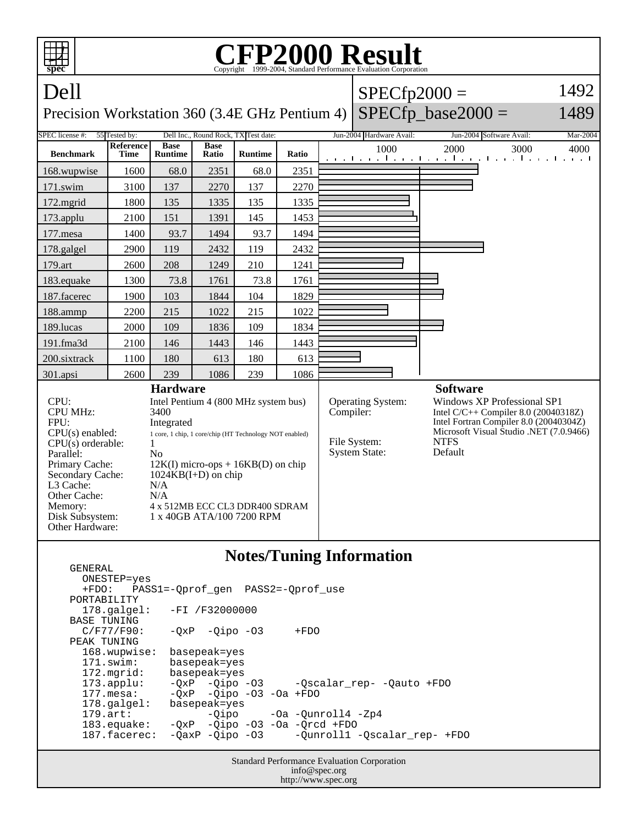

http://www.spec.org

| ONESTEP=yes           | +FDO: PASS1=-Oprof gen PASS2=-Oprof use            |
|-----------------------|----------------------------------------------------|
| PORTABILITY           |                                                    |
|                       | $178.\text{qalgel}: -FI /F32000000$                |
| BASE TUNING           |                                                    |
| $C/F77/F90$ :         | $-0xP$ $-0ipo$ $-03$<br>$+FDO$                     |
| PEAK TUNING           |                                                    |
| 168.wupwise:          | basepeak=yes                                       |
| $171$ .swim:          | basepeak=yes                                       |
| $172.\text{mgrid}:$   | basepeak=yes                                       |
| $173.appendu$ :       | -QxP -Qipo -03 -Qscalar_rep- -Qauto +FDO           |
| $177.\text{mesa}$ :   | $-QXP$ -Qipo -03 -0a +FDO                          |
| $178.\text{qalgel}$ : | basepeak=yes                                       |
| $179.\text{art}$ :    | -Qipo -Oa -Qunroll4 -Zp4                           |
| 183.equake:           | $-QXP$ -Qipo -O3 -Oa -Qrcd +FDO                    |
| $187.\nfacerec:$      | -QaxP -Qipo -03 -Qunroll1 -Qscalar_rep- +FDO       |
|                       |                                                    |
|                       | <b>Standard Performance Evaluation Corporation</b> |
|                       | info@spec.org                                      |

GENERAL